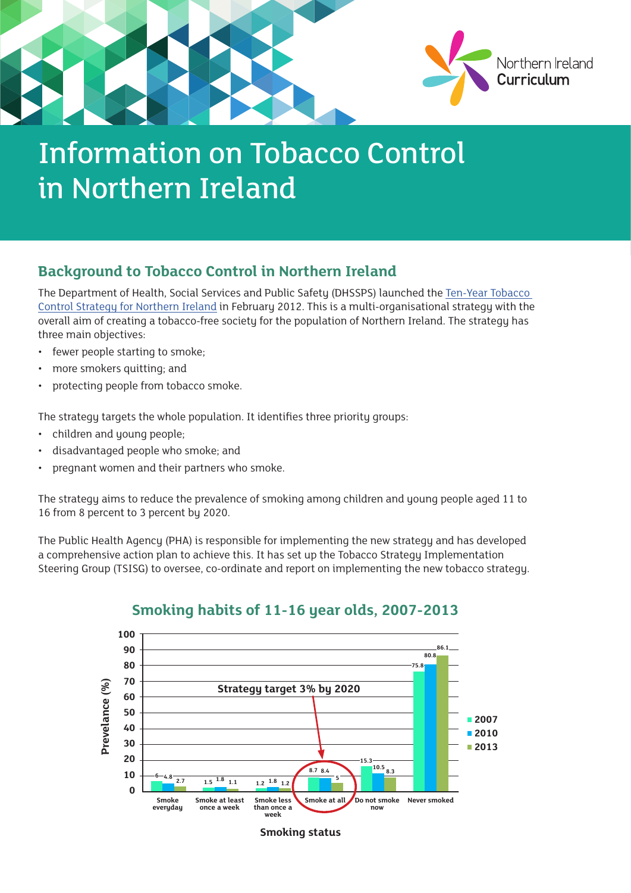

## **Background to Tobacco Control in Northern Ireland**

The Department of Health, Social Services and Public Safety (DHSSPS) launched the [Ten-Year Tobacco](http://www.dhsspsni.gov.uk/tobacco_strategy_-_final.pdf)  [Control Strategy for Northern Ireland](http://www.dhsspsni.gov.uk/tobacco_strategy_-_final.pdf) in February 2012. This is a multi-organisational strategy with the overall aim of creating a tobacco-free society for the population of Northern Ireland. The strategy has three main objectives:

- fewer people starting to smoke;
- more smokers quitting; and
- protecting people from tobacco smoke.

The strategy targets the whole population. It identifies three priority groups:

- children and young people;
- disadvantaged people who smoke; and
- pregnant women and their partners who smoke.

The strategy aims to reduce the prevalence of smoking among children and young people aged 11 to 16 from 8 percent to 3 percent by 2020.

The Public Health Agency (PHA) is responsible for implementing the new strategy and has developed a comprehensive action plan to achieve this. It has set up the Tobacco Strategy Implementation Steering Group (TSISG) to oversee, co-ordinate and report on implementing the new tobacco strategy.



### **Smoking habits of 11-16 year olds, 2007-2013**

**Smoking status**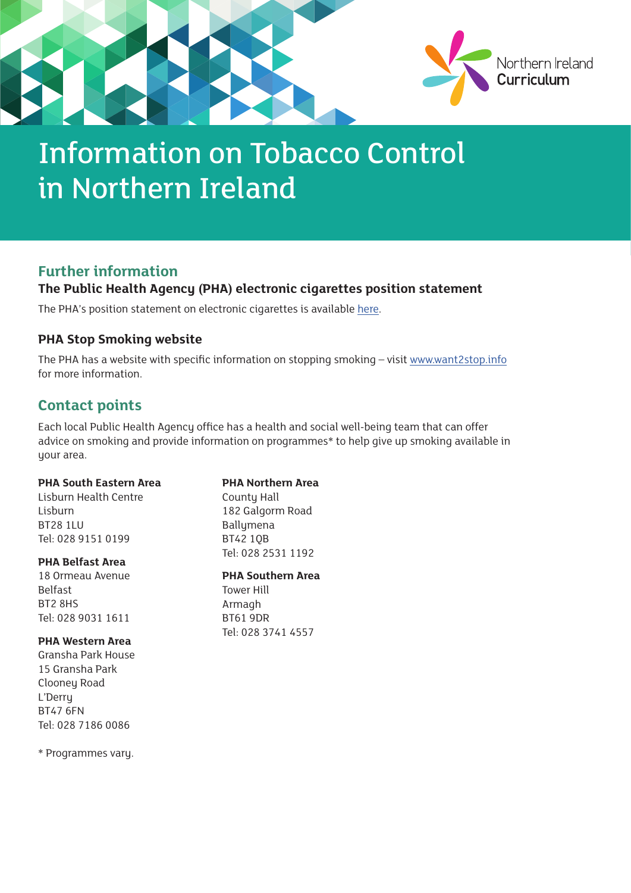

### **Further information**

### **The Public Health Agency (PHA) electronic cigarettes position statement**

The PHA's position statement on electronic cigarettes is available [here](http://www.publichealth.hscni.net/sites/default/files/directorates/files/pha_electronic_cigarettes_position_statement_may_2014_0.pdf).

### **PHA Stop Smoking website**

The PHA has a website with specific information on stopping smoking – visit [www.want2stop.info](http://www.want2stop.info) for more information.

## **Contact points**

Each local Public Health Agency office has a health and social well-being team that can offer advice on smoking and provide information on programmes\* to help give up smoking available in your area.

#### **PHA South Eastern Area**

Lisburn Health Centre Lisburn BT28 1LU Tel: 028 9151 0199

#### **PHA Belfast Area**

18 Ormeau Avenue Belfast BT2 8HS Tel: 028 9031 1611

#### **PHA Western Area**

Gransha Park House 15 Gransha Park Clooney Road L'Derry BT47 6FN Tel: 028 7186 0086

\* Programmes vary.

**PHA Northern Area**  County Hall 182 Galgorm Road Ballymena BT42 1QB Tel: 028 2531 1192

**PHA Southern Area**  Tower Hill

Armagh BT61 9DR Tel: 028 3741 4557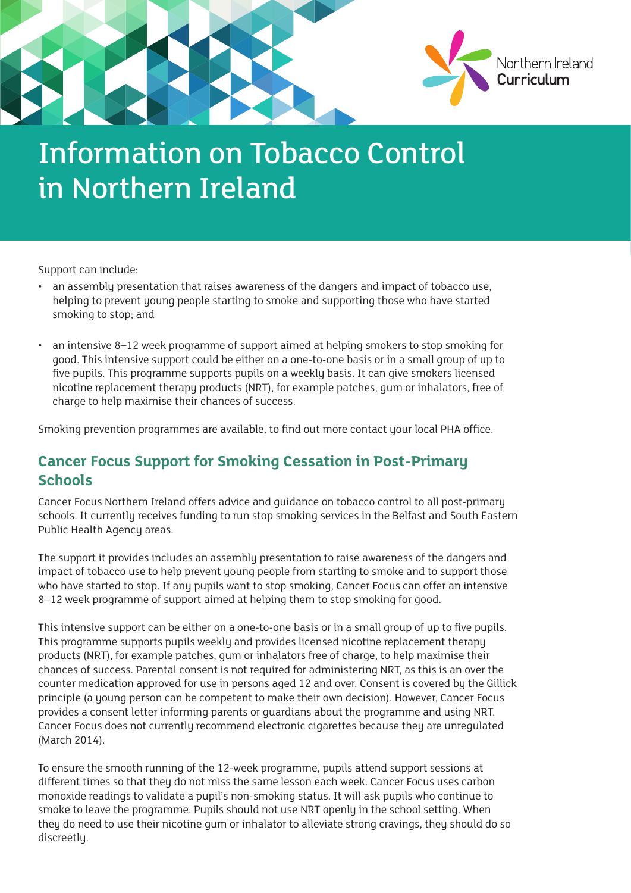

Support can include:

- an assembly presentation that raises awareness of the dangers and impact of tobacco use, helping to prevent young people starting to smoke and supporting those who have started smoking to stop; and
- an intensive 8–12 week programme of support aimed at helping smokers to stop smoking for good. This intensive support could be either on a one-to-one basis or in a small group of up to five pupils. This programme supports pupils on a weekly basis. It can give smokers licensed nicotine replacement therapy products (NRT), for example patches, gum or inhalators, free of charge to help maximise their chances of success.

Smoking prevention programmes are available, to find out more contact your local PHA office.

## **Cancer Focus Support for Smoking Cessation in Post-Primary Schools**

Cancer Focus Northern Ireland offers advice and guidance on tobacco control to all post-primary schools. It currently receives funding to run stop smoking services in the Belfast and South Eastern Public Health Agency areas.

The support it provides includes an assembly presentation to raise awareness of the dangers and impact of tobacco use to help prevent young people from starting to smoke and to support those who have started to stop. If any pupils want to stop smoking, Cancer Focus can offer an intensive 8–12 week programme of support aimed at helping them to stop smoking for good.

This intensive support can be either on a one-to-one basis or in a small group of up to five pupils. This programme supports pupils weekly and provides licensed nicotine replacement therapy products (NRT), for example patches, gum or inhalators free of charge, to help maximise their chances of success. Parental consent is not required for administering NRT, as this is an over the counter medication approved for use in persons aged 12 and over. Consent is covered by the Gillick principle (a young person can be competent to make their own decision). However, Cancer Focus provides a consent letter informing parents or guardians about the programme and using NRT. Cancer Focus does not currently recommend electronic cigarettes because they are unregulated (March 2014).

To ensure the smooth running of the 12-week programme, pupils attend support sessions at different times so that they do not miss the same lesson each week. Cancer Focus uses carbon monoxide readings to validate a pupil's non-smoking status. It will ask pupils who continue to smoke to leave the programme. Pupils should not use NRT openly in the school setting. When they do need to use their nicotine gum or inhalator to alleviate strong cravings, they should do so discreetly.